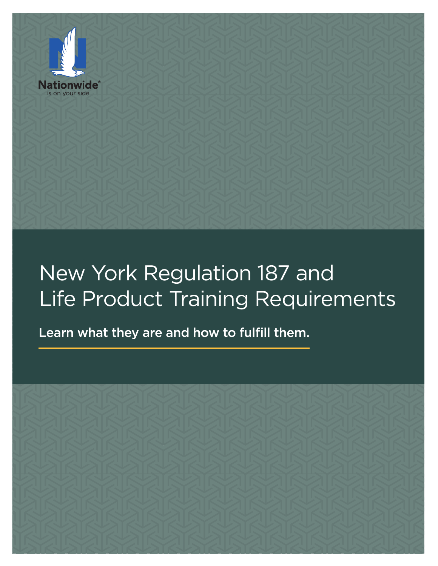

# New York Regulation 187 and Life Product Training Requirements

Learn what they are and how to fulfill them.

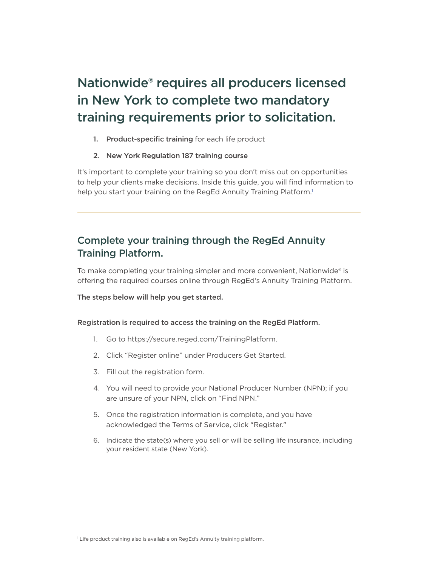# Nationwide® requires all producers licensed in New York to complete two mandatory training requirements prior to solicitation.

- 1. Product-specific training for each life product
- 2. New York Regulation 187 training course

It's important to complete your training so you don't miss out on opportunities to help your clients make decisions. Inside this guide, you will find information to help you start your training on the RegEd Annuity Training Platform.<sup>1</sup>

# Complete your training through the RegEd Annuity Training Platform.

To make completing your training simpler and more convenient, Nationwide® is offering the required courses online through RegEd's Annuity Training Platform.

The steps below will help you get started.

#### Registration is required to access the training on the RegEd Platform.

- 1. Go to https://secure.reged.com/TrainingPlatform.
- 2. Click "Register online" under Producers Get Started.
- 3. Fill out the registration form.
- 4. You will need to provide your National Producer Number (NPN); if you are unsure of your NPN, click on "Find NPN."
- 5. Once the registration information is complete, and you have acknowledged the Terms of Service, click "Register."
- 6. Indicate the state(s) where you sell or will be selling life insurance, including your resident state (New York).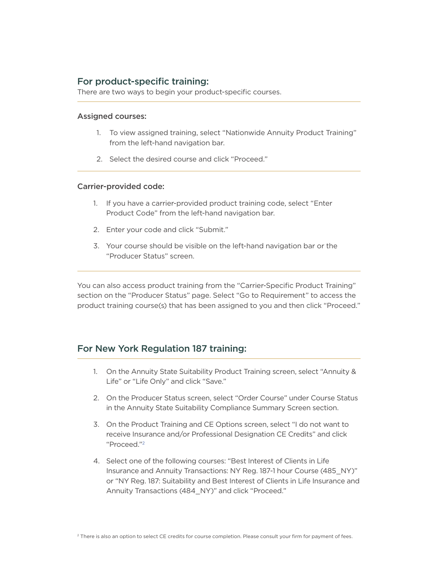## For product-specific training:

There are two ways to begin your product-specific courses.

#### Assigned courses:

- 1. To view assigned training, select "Nationwide Annuity Product Training" from the left-hand navigation bar.
- 2. Select the desired course and click "Proceed."

#### Carrier-provided code:

- 1. If you have a carrier-provided product training code, select "Enter Product Code" from the left-hand navigation bar.
- 2. Enter your code and click "Submit."
- 3. Your course should be visible on the left-hand navigation bar or the "Producer Status" screen.

You can also access product training from the "Carrier-Specific Product Training" section on the "Producer Status" page. Select "Go to Requirement" to access the product training course(s) that has been assigned to you and then click "Proceed."

### For New York Regulation 187 training:

- 1. On the Annuity State Suitability Product Training screen, select "Annuity & Life" or "Life Only" and click "Save."
- 2. On the Producer Status screen, select "Order Course" under Course Status in the Annuity State Suitability Compliance Summary Screen section.
- 3. On the Product Training and CE Options screen, select "I do not want to receive Insurance and/or Professional Designation CE Credits" and click "Proceed."2
- 4. Select one of the following courses: "Best Interest of Clients in Life Insurance and Annuity Transactions: NY Reg. 187-1 hour Course (485\_NY)" or "NY Reg. 187: Suitability and Best Interest of Clients in Life Insurance and Annuity Transactions (484\_NY)" and click "Proceed."